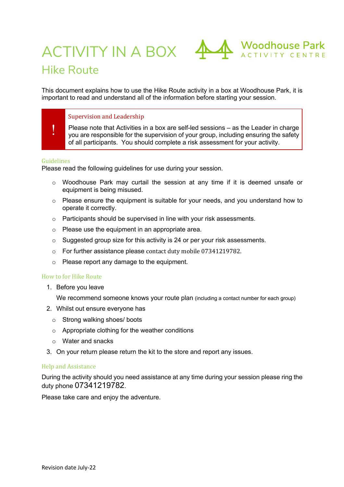

# Hike Route

This document explains how to use the Hike Route activity in a box at Woodhouse Park, it is important to read and understand all of the information before starting your session.

### Supervision and Leadership

! Please note that Activities in a box are self-led sessions – as the Leader in charge you are responsible for the supervision of your group, including ensuring the safety of all participants. You should complete a risk assessment for your activity.

#### Guidelines

Please read the following guidelines for use during your session.

- $\circ$  Woodhouse Park may curtail the session at any time if it is deemed unsafe or equipment is being misused.
- $\circ$  Please ensure the equipment is suitable for your needs, and you understand how to operate it correctly.
- o Participants should be supervised in line with your risk assessments.
- o Please use the equipment in an appropriate area.
- o Suggested group size for this activity is 24 or per your risk assessments.
- $\circ$  For further assistance please contact duty mobile 07341219782.
- o Please report any damage to the equipment.

#### How to for Hike Route

1. Before you leave

We recommend someone knows your route plan (including a contact number for each group)

- 2. Whilst out ensure everyone has
	- o Strong walking shoes/ boots
	- o Appropriate clothing for the weather conditions
	- o Water and snacks
- 3. On your return please return the kit to the store and report any issues.

#### Help and Assistance

During the activity should you need assistance at any time during your session please ring the duty phone 07341219782.

Please take care and enjoy the adventure.